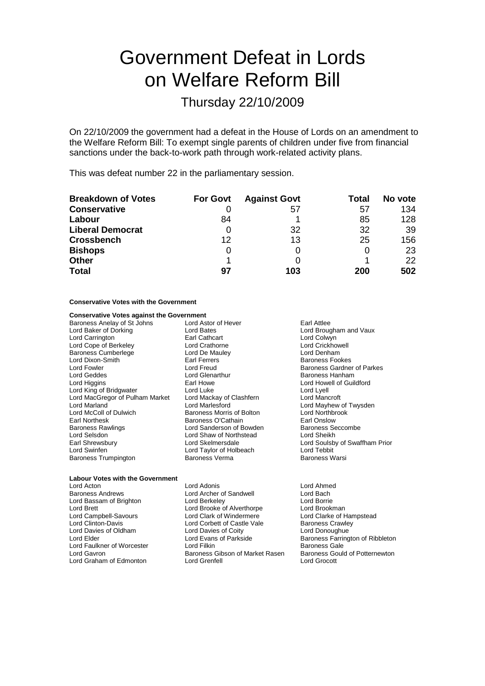# Government Defeat in Lords on Welfare Reform Bill

# Thursday 22/10/2009

On 22/10/2009 the government had a defeat in the House of Lords on an amendment to the Welfare Reform Bill: To exempt single parents of children under five from financial sanctions under the back-to-work path through work-related activity plans.

This was defeat number 22 in the parliamentary session.

| <b>Breakdown of Votes</b> | <b>For Govt</b> | <b>Against Govt</b> | Total | No vote |
|---------------------------|-----------------|---------------------|-------|---------|
| <b>Conservative</b>       |                 | 57                  | 57    | 134     |
| Labour                    | 84              |                     | 85    | 128     |
| <b>Liberal Democrat</b>   |                 | 32                  | 32    | 39      |
| <b>Crossbench</b>         | 12              | 13                  | 25    | 156     |
| <b>Bishops</b>            | Ω               |                     |       | 23      |
| <b>Other</b>              |                 |                     |       | 22      |
| <b>Total</b>              | 97              | 103                 | 200   | 502     |

# **Conservative Votes with the Government**

# **Conservative Votes against the Government**

| Baroness Anelay of St Johns     |
|---------------------------------|
| Lord Baker of Dorking           |
| Lord Carrington                 |
| Lord Cope of Berkeley           |
| <b>Baroness Cumberlege</b>      |
| Lord Dixon-Smith                |
| <b>Lord Fowler</b>              |
| Lord Geddes                     |
| Lord Higgins                    |
| Lord King of Bridgwater         |
| Lord MacGregor of Pulham Market |
| <b>Lord Marland</b>             |
| Lord McColl of Dulwich          |
| <b>Earl Northesk</b>            |
| <b>Baroness Rawlings</b>        |
| Lord Selsdon                    |
| Earl Shrewsbury                 |
| Lord Swinfen                    |
| <b>Baroness Trumpington</b>     |
|                                 |

Lord Astor of Hever **Earl Attlee** Earl Cathcart Lord Colwyn<br>
Lord Crathorne Lord Crickho Lord De Mauley Earl Ferrers **Baroness Fookes** Lord Glenarthur Baroness Hanham<br>Earl Howe Lord Howell of Guil Lord Luke<br>
Lord Mackay of Clashfern<br>
Lord Mancroft Lord Mackay of Clashfern<br>Lord Marlesford Baroness Morris of Bolton Lord Northbrook Earl Onslow<br> **Earl Onslow Earl Onslow Earl Onslow**<br>
Baroness Seccombe Lord Sanderson of Bowden Baroness Section Baroness Section And Sheikh<br>Lord Shaw of Northstead Baroness Section Lord Shaw of Northstead Lord Taylor of Holbeach Lord Tebbit<br>Baroness Verma Lord Baroness Warsi

Lord Bates **Lord Brougham and Vaux** Lord Crickhowell<br>Lord Denham Lord Freud **Exercise Exercise Control** Baroness Gardner of Parkes<br> **Exercise Control Control Control Control Control Control Control Control Control Control Control Control Control Control Control Control Control Control C** Lord Howell of Guildford Lord Mayhew of Twysden Lord Skelmersdale **Lord Soulsby of Swaffham Prior**<br>
Lord Taylor of Holbeach **Lord Tebbit** 

| <b>Labour Votes with the Government</b> |                                 |                                  |  |
|-----------------------------------------|---------------------------------|----------------------------------|--|
| Lord Acton                              | Lord Adonis                     | Lord Ahmed                       |  |
| <b>Baroness Andrews</b>                 | Lord Archer of Sandwell         | Lord Bach                        |  |
| Lord Bassam of Brighton                 | Lord Berkeley                   | Lord Borrie                      |  |
| <b>Lord Brett</b>                       | Lord Brooke of Alverthorpe      | Lord Brookman                    |  |
| Lord Campbell-Savours                   | Lord Clark of Windermere        | Lord Clarke of Hampstead         |  |
| Lord Clinton-Davis                      | Lord Corbett of Castle Vale     | <b>Baroness Crawley</b>          |  |
| Lord Davies of Oldham                   | Lord Davies of Coity            | Lord Donoughue                   |  |
| Lord Elder                              | Lord Evans of Parkside          | Baroness Farrington of Ribbleton |  |
| Lord Faulkner of Worcester              | Lord Filkin                     | <b>Baroness Gale</b>             |  |
| Lord Gavron                             | Baroness Gibson of Market Rasen | Baroness Gould of Potternewton   |  |
| Lord Graham of Edmonton                 | Lord Grenfell                   | Lord Grocott                     |  |